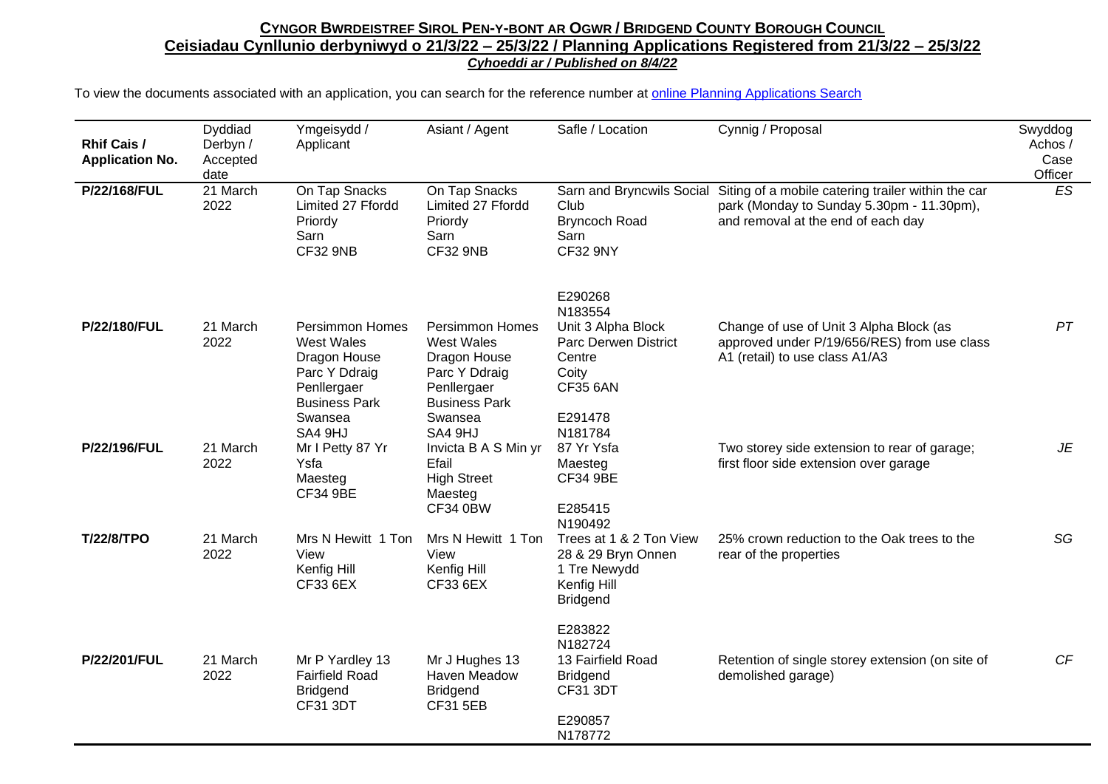| <b>Rhif Cais /</b><br><b>Application No.</b> | Dyddiad<br>Derbyn /<br>Accepted<br>date | Ymgeisydd /<br>Applicant                                                                                            | Asiant / Agent                                                                                                      | Safle / Location                                                                                              | Cynnig / Proposal                                                                                                                     | Swyddog<br>Achos /<br>Case<br>Officer |
|----------------------------------------------|-----------------------------------------|---------------------------------------------------------------------------------------------------------------------|---------------------------------------------------------------------------------------------------------------------|---------------------------------------------------------------------------------------------------------------|---------------------------------------------------------------------------------------------------------------------------------------|---------------------------------------|
| P/22/168/FUL                                 | 21 March<br>2022                        | On Tap Snacks<br>Limited 27 Ffordd<br>Priordy<br>Sarn<br><b>CF32 9NB</b>                                            | On Tap Snacks<br>Limited 27 Ffordd<br>Priordy<br>Sarn<br><b>CF32 9NB</b>                                            | Sarn and Bryncwils Social<br>Club<br><b>Bryncoch Road</b><br>Sarn<br><b>CF32 9NY</b>                          | Siting of a mobile catering trailer within the car<br>park (Monday to Sunday 5.30pm - 11.30pm),<br>and removal at the end of each day | ES                                    |
| P/22/180/FUL                                 | 21 March<br>2022                        | <b>Persimmon Homes</b><br><b>West Wales</b><br>Dragon House<br>Parc Y Ddraig<br>Penllergaer<br><b>Business Park</b> | <b>Persimmon Homes</b><br><b>West Wales</b><br>Dragon House<br>Parc Y Ddraig<br>Penllergaer<br><b>Business Park</b> | E290268<br>N183554<br>Unit 3 Alpha Block<br><b>Parc Derwen District</b><br>Centre<br>Coity<br><b>CF35 6AN</b> | Change of use of Unit 3 Alpha Block (as<br>approved under P/19/656/RES) from use class<br>A1 (retail) to use class A1/A3              | PT                                    |
| P/22/196/FUL                                 | 21 March<br>2022                        | Swansea<br>SA4 9HJ<br>Mr I Petty 87 Yr<br>Ysfa<br>Maesteg<br><b>CF34 9BE</b>                                        | Swansea<br>SA4 9HJ<br>Invicta B A S Min yr<br>Efail<br><b>High Street</b><br>Maesteg<br><b>CF34 0BW</b>             | E291478<br>N181784<br>87 Yr Ysfa<br>Maesteg<br><b>CF34 9BE</b><br>E285415<br>N190492                          | Two storey side extension to rear of garage;<br>first floor side extension over garage                                                | JE                                    |
| <b>T/22/8/TPO</b>                            | 21 March<br>2022                        | Mrs N Hewitt 1 Ton<br>View<br>Kenfig Hill<br>CF33 6EX                                                               | Mrs N Hewitt 1 Ton<br>View<br>Kenfig Hill<br>CF33 6EX                                                               | Trees at 1 & 2 Ton View<br>28 & 29 Bryn Onnen<br>1 Tre Newydd<br>Kenfig Hill<br><b>Bridgend</b>               | 25% crown reduction to the Oak trees to the<br>rear of the properties                                                                 | SG                                    |
| P/22/201/FUL                                 | 21 March<br>2022                        | Mr P Yardley 13<br><b>Fairfield Road</b><br><b>Bridgend</b><br>CF31 3DT                                             | Mr J Hughes 13<br>Haven Meadow<br><b>Bridgend</b><br><b>CF31 5EB</b>                                                | E283822<br>N182724<br>13 Fairfield Road<br><b>Bridgend</b><br>CF31 3DT<br>E290857<br>N178772                  | Retention of single storey extension (on site of<br>demolished garage)                                                                | CF                                    |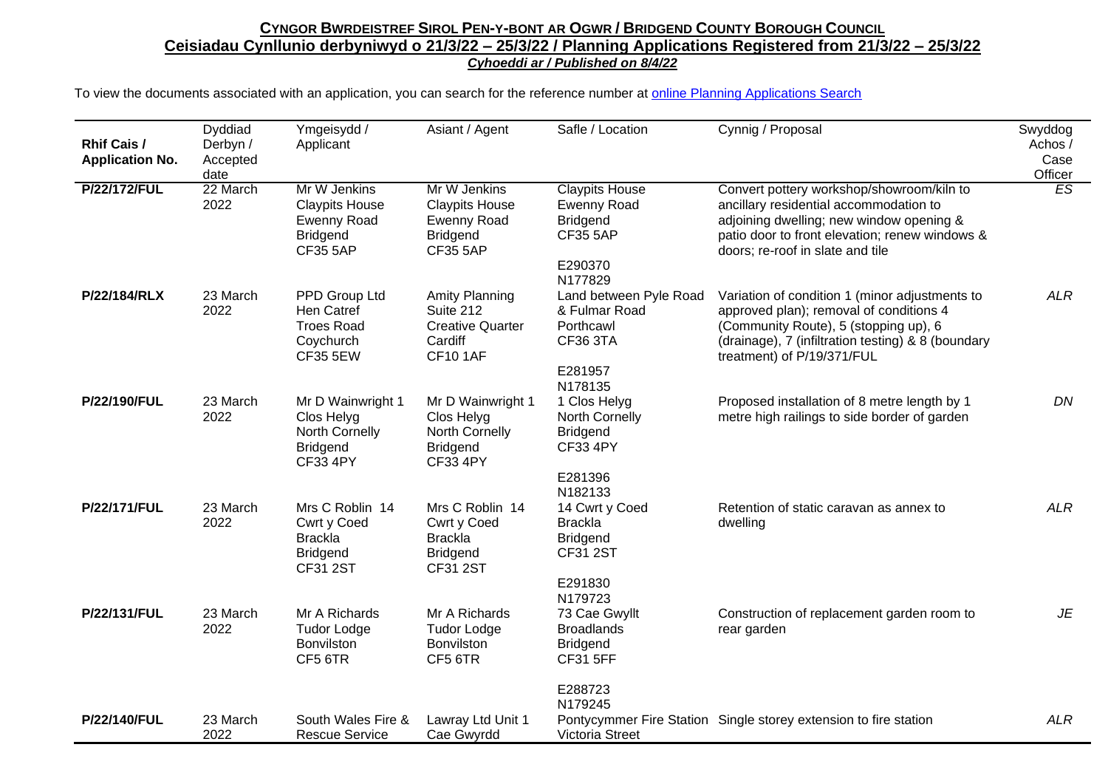| <b>Rhif Cais /</b><br><b>Application No.</b> | Dyddiad<br>Derbyn /<br>Accepted<br>date | Ymgeisydd /<br>Applicant                                                                          | Asiant / Agent                                                                                    | Safle / Location                                                                                        | Cynnig / Proposal                                                                                                                                                                                                      | Swyddog<br>Achos /<br>Case<br>Officer |
|----------------------------------------------|-----------------------------------------|---------------------------------------------------------------------------------------------------|---------------------------------------------------------------------------------------------------|---------------------------------------------------------------------------------------------------------|------------------------------------------------------------------------------------------------------------------------------------------------------------------------------------------------------------------------|---------------------------------------|
| <b>P/22/172/FUL</b>                          | 22 March<br>2022                        | Mr W Jenkins<br><b>Claypits House</b><br><b>Ewenny Road</b><br><b>Bridgend</b><br><b>CF35 5AP</b> | Mr W Jenkins<br><b>Claypits House</b><br><b>Ewenny Road</b><br><b>Bridgend</b><br><b>CF35 5AP</b> | <b>Claypits House</b><br><b>Ewenny Road</b><br><b>Bridgend</b><br><b>CF35 5AP</b><br>E290370<br>N177829 | Convert pottery workshop/showroom/kiln to<br>ancillary residential accommodation to<br>adjoining dwelling; new window opening &<br>patio door to front elevation; renew windows &<br>doors; re-roof in slate and tile  | ES                                    |
| P/22/184/RLX                                 | 23 March<br>2022                        | PPD Group Ltd<br>Hen Catref<br><b>Troes Road</b><br>Coychurch<br><b>CF35 5EW</b>                  | <b>Amity Planning</b><br>Suite 212<br><b>Creative Quarter</b><br>Cardiff<br><b>CF10 1AF</b>       | Land between Pyle Road<br>& Fulmar Road<br>Porthcawl<br><b>CF36 3TA</b><br>E281957<br>N178135           | Variation of condition 1 (minor adjustments to<br>approved plan); removal of conditions 4<br>(Community Route), 5 (stopping up), 6<br>(drainage), 7 (infiltration testing) & 8 (boundary<br>treatment) of P/19/371/FUL | <b>ALR</b>                            |
| P/22/190/FUL                                 | 23 March<br>2022                        | Mr D Wainwright 1<br>Clos Helyg<br>North Cornelly<br><b>Bridgend</b><br><b>CF33 4PY</b>           | Mr D Wainwright 1<br>Clos Helyg<br>North Cornelly<br><b>Bridgend</b><br><b>CF33 4PY</b>           | 1 Clos Helyg<br>North Cornelly<br><b>Bridgend</b><br><b>CF33 4PY</b><br>E281396<br>N182133              | Proposed installation of 8 metre length by 1<br>metre high railings to side border of garden                                                                                                                           | DN                                    |
| P/22/171/FUL                                 | 23 March<br>2022                        | Mrs C Roblin 14<br>Cwrt y Coed<br><b>Brackla</b><br><b>Bridgend</b><br><b>CF31 2ST</b>            | Mrs C Roblin 14<br>Cwrt y Coed<br><b>Brackla</b><br><b>Bridgend</b><br><b>CF31 2ST</b>            | 14 Cwrt y Coed<br><b>Brackla</b><br><b>Bridgend</b><br><b>CF31 2ST</b><br>E291830<br>N179723            | Retention of static caravan as annex to<br>dwelling                                                                                                                                                                    | <b>ALR</b>                            |
| P/22/131/FUL                                 | 23 March<br>2022                        | Mr A Richards<br><b>Tudor Lodge</b><br>Bonvilston<br>CF5 6TR                                      | Mr A Richards<br><b>Tudor Lodge</b><br>Bonvilston<br>CF5 6TR                                      | 73 Cae Gwyllt<br><b>Broadlands</b><br><b>Bridgend</b><br><b>CF31 5FF</b><br>E288723                     | Construction of replacement garden room to<br>rear garden                                                                                                                                                              | JE                                    |
| P/22/140/FUL                                 | 23 March<br>2022                        | South Wales Fire &<br><b>Rescue Service</b>                                                       | Lawray Ltd Unit 1<br>Cae Gwyrdd                                                                   | N179245<br><b>Victoria Street</b>                                                                       | Pontycymmer Fire Station Single storey extension to fire station                                                                                                                                                       | <b>ALR</b>                            |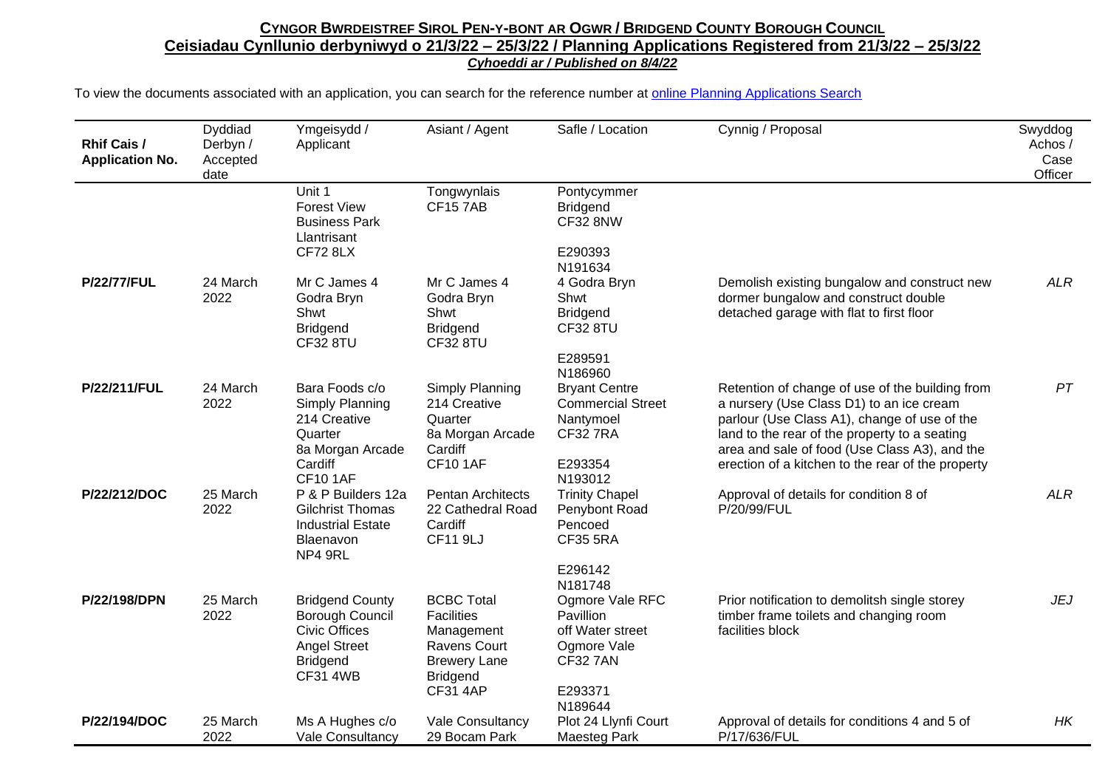| <b>Rhif Cais /</b><br><b>Application No.</b> | Dyddiad<br>Derbyn /<br>Accepted<br>date | Ymgeisydd /<br>Applicant                                                                                                       | Asiant / Agent                                                                                                                           | Safle / Location                                                                                         | Cynnig / Proposal                                                                                                                                                                                                                                                                                  | Swyddog<br>Achos /<br>Case<br>Officer |
|----------------------------------------------|-----------------------------------------|--------------------------------------------------------------------------------------------------------------------------------|------------------------------------------------------------------------------------------------------------------------------------------|----------------------------------------------------------------------------------------------------------|----------------------------------------------------------------------------------------------------------------------------------------------------------------------------------------------------------------------------------------------------------------------------------------------------|---------------------------------------|
|                                              |                                         | Unit 1<br><b>Forest View</b><br><b>Business Park</b><br>Llantrisant<br><b>CF72 8LX</b>                                         | Tongwynlais<br><b>CF157AB</b>                                                                                                            | Pontycymmer<br><b>Bridgend</b><br><b>CF32 8NW</b><br>E290393                                             |                                                                                                                                                                                                                                                                                                    |                                       |
| <b>P/22/77/FUL</b>                           | 24 March<br>2022                        | Mr C James 4<br>Godra Bryn<br>Shwt<br><b>Bridgend</b><br>CF328TU                                                               | Mr C James 4<br>Godra Bryn<br>Shwt<br><b>Bridgend</b><br><b>CF32 8TU</b>                                                                 | N191634<br>4 Godra Bryn<br>Shwt<br><b>Bridgend</b><br>CF32 8TU<br>E289591<br>N186960                     | Demolish existing bungalow and construct new<br>dormer bungalow and construct double<br>detached garage with flat to first floor                                                                                                                                                                   | <b>ALR</b>                            |
| P/22/211/FUL                                 | 24 March<br>2022                        | Bara Foods c/o<br>Simply Planning<br>214 Creative<br>Quarter<br>8a Morgan Arcade<br>Cardiff<br><b>CF10 1AF</b>                 | Simply Planning<br>214 Creative<br>Quarter<br>8a Morgan Arcade<br>Cardiff<br><b>CF10 1AF</b>                                             | <b>Bryant Centre</b><br><b>Commercial Street</b><br>Nantymoel<br><b>CF32 7RA</b><br>E293354<br>N193012   | Retention of change of use of the building from<br>a nursery (Use Class D1) to an ice cream<br>parlour (Use Class A1), change of use of the<br>land to the rear of the property to a seating<br>area and sale of food (Use Class A3), and the<br>erection of a kitchen to the rear of the property | PT                                    |
| P/22/212/DOC                                 | 25 March<br>2022                        | P & P Builders 12a<br><b>Gilchrist Thomas</b><br><b>Industrial Estate</b><br>Blaenavon<br>NP4 9RL                              | <b>Pentan Architects</b><br>22 Cathedral Road<br>Cardiff<br><b>CF11 9LJ</b>                                                              | <b>Trinity Chapel</b><br>Penybont Road<br>Pencoed<br><b>CF35 5RA</b><br>E296142<br>N181748               | Approval of details for condition 8 of<br>P/20/99/FUL                                                                                                                                                                                                                                              | <b>ALR</b>                            |
| P/22/198/DPN                                 | 25 March<br>2022                        | <b>Bridgend County</b><br>Borough Council<br><b>Civic Offices</b><br><b>Angel Street</b><br><b>Bridgend</b><br><b>CF31 4WB</b> | <b>BCBC Total</b><br><b>Facilities</b><br>Management<br><b>Ravens Court</b><br><b>Brewery Lane</b><br><b>Bridgend</b><br><b>CF31 4AP</b> | Ogmore Vale RFC<br>Pavillion<br>off Water street<br>Ogmore Vale<br><b>CF32 7AN</b><br>E293371<br>N189644 | Prior notification to demolitsh single storey<br>timber frame toilets and changing room<br>facilities block                                                                                                                                                                                        | <b>JEJ</b>                            |
| P/22/194/DOC                                 | 25 March<br>2022                        | Ms A Hughes c/o<br>Vale Consultancy                                                                                            | Vale Consultancy<br>29 Bocam Park                                                                                                        | Plot 24 Llynfi Court<br><b>Maesteg Park</b>                                                              | Approval of details for conditions 4 and 5 of<br>P/17/636/FUL                                                                                                                                                                                                                                      | HK                                    |